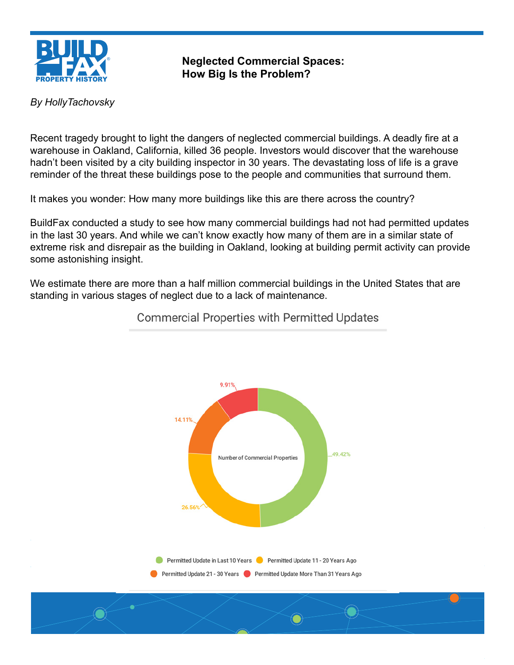

**Neglected Commercial Spaces: How Big Is the Problem?**

#### *By HollyTachovsky*

Recent tragedy brought to light the dangers of neglected commercial buildings. A deadly fire at a warehouse in Oakland, California, killed 36 people. Investors would discover that the warehouse hadn't been visited by a city building inspector in 30 years. The devastating loss of life is a grave reminder of the threat these buildings pose to the people and communities that surround them.

It makes you wonder: How many more buildings like this are there across the country?

BuildFax conducted a study to see how many commercial buildings had not had permitted updates in the last 30 years. And while we can't know exactly how many of them are in a similar state of extreme risk and disrepair as the building in Oakland, looking at building permit activity can provide some astonishing insight.

We estimate there are more than a half million commercial buildings in the United States that are standing in various stages of neglect due to a lack of maintenance.



**Commercial Properties with Permitted Updates**